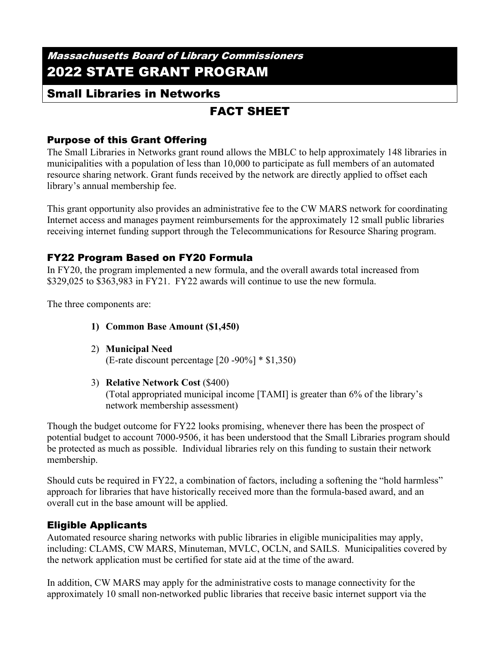# Massachusetts Board of Library Commissioners 2022 STATE GRANT PROGRAM

## Small Libraries in Networks

# FACT SHEET

## Purpose of this Grant Offering

The Small Libraries in Networks grant round allows the MBLC to help approximately 148 libraries in municipalities with a population of less than 10,000 to participate as full members of an automated resource sharing network. Grant funds received by the network are directly applied to offset each library's annual membership fee.

This grant opportunity also provides an administrative fee to the CW MARS network for coordinating Internet access and manages payment reimbursements for the approximately 12 small public libraries receiving internet funding support through the Telecommunications for Resource Sharing program.

### FY22 Program Based on FY20 Formula

In FY20, the program implemented a new formula, and the overall awards total increased from \$329,025 to \$363,983 in FY21. FY22 awards will continue to use the new formula.

The three components are:

- **1) Common Base Amount (\$1,450)**
- 2) **Municipal Need** (E-rate discount percentage [20 -90%] \* \$1,350)
- 3) **Relative Network Cost** (\$400)

(Total appropriated municipal income [TAMI] is greater than 6% of the library's network membership assessment)

Though the budget outcome for FY22 looks promising, whenever there has been the prospect of potential budget to account 7000-9506, it has been understood that the Small Libraries program should be protected as much as possible. Individual libraries rely on this funding to sustain their network membership.

Should cuts be required in FY22, a combination of factors, including a softening the "hold harmless" approach for libraries that have historically received more than the formula-based award, and an overall cut in the base amount will be applied.

## Eligible Applicants

Automated resource sharing networks with public libraries in eligible municipalities may apply, including: CLAMS, CW MARS, Minuteman, MVLC, OCLN, and SAILS. Municipalities covered by the network application must be certified for state aid at the time of the award.

In addition, CW MARS may apply for the administrative costs to manage connectivity for the approximately 10 small non-networked public libraries that receive basic internet support via the